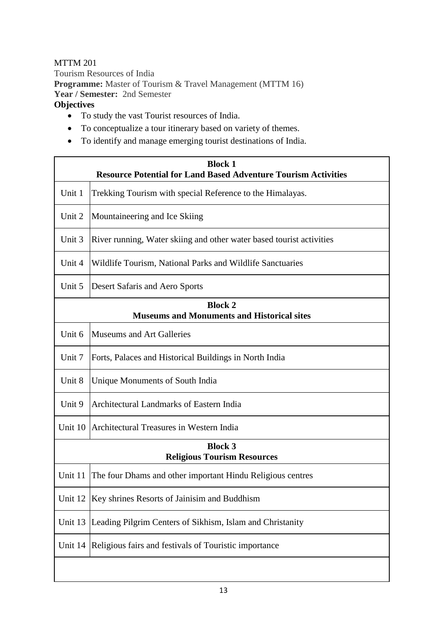## MTTM 201

Tourism Resources of India **Programme:** Master of Tourism & Travel Management (MTTM 16) **Year / Semester:** 2nd Semester **Objectives** 

- To study the vast Tourist resources of India.
- To conceptualize a tour itinerary based on variety of themes.
- To identify and manage emerging tourist destinations of India.

| <b>Block 1</b><br><b>Resource Potential for Land Based Adventure Tourism Activities</b> |                                                                      |  |
|-----------------------------------------------------------------------------------------|----------------------------------------------------------------------|--|
| Unit 1                                                                                  | Trekking Tourism with special Reference to the Himalayas.            |  |
| Unit 2                                                                                  | Mountaineering and Ice Skiing                                        |  |
| Unit 3                                                                                  | River running, Water skiing and other water based tourist activities |  |
| Unit 4                                                                                  | Wildlife Tourism, National Parks and Wildlife Sanctuaries            |  |
| Unit 5                                                                                  | Desert Safaris and Aero Sports                                       |  |
| <b>Block 2</b><br><b>Museums and Monuments and Historical sites</b>                     |                                                                      |  |
| Unit 6                                                                                  | Museums and Art Galleries                                            |  |
| Unit 7                                                                                  | Forts, Palaces and Historical Buildings in North India               |  |
| Unit 8                                                                                  | Unique Monuments of South India                                      |  |
| Unit 9                                                                                  | Architectural Landmarks of Eastern India                             |  |
|                                                                                         | Unit 10 Architectural Treasures in Western India                     |  |
| <b>Block 3</b><br><b>Religious Tourism Resources</b>                                    |                                                                      |  |
| Unit 11                                                                                 | The four Dhams and other important Hindu Religious centres           |  |
| Unit 12                                                                                 | Key shrines Resorts of Jainisim and Buddhism                         |  |
| Unit 13                                                                                 | Leading Pilgrim Centers of Sikhism, Islam and Christanity            |  |
| Unit 14                                                                                 | Religious fairs and festivals of Touristic importance                |  |
|                                                                                         |                                                                      |  |